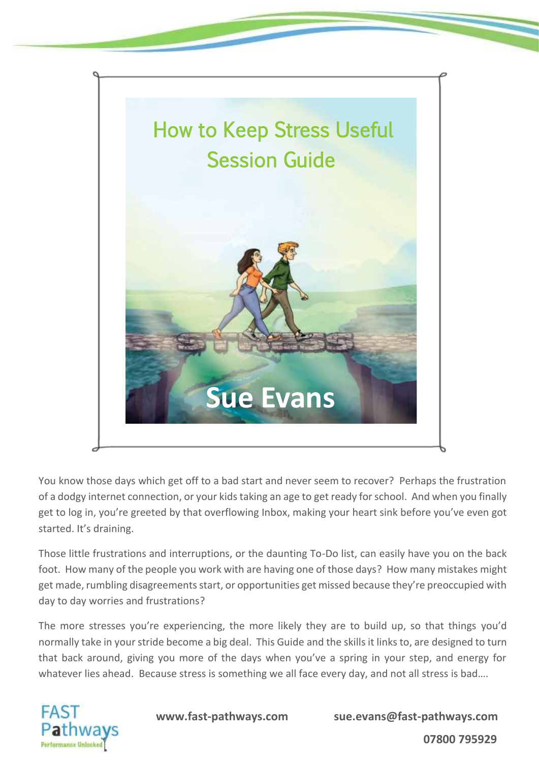

You know those days which get off to a bad start and never seem to recover? Perhaps the frustration of a dodgy internet connection, or your kids taking an age to get ready for school. And when you finally get to log in, you're greeted by that overflowing Inbox, making your heart sink before you've even got started. It's draining.

Those little frustrations and interruptions, or the daunting To-Do list, can easily have you on the back foot. How many of the people you work with are having one of those days? How many mistakes might get made, rumbling disagreements start, or opportunities get missed because they're preoccupied with day to day worries and frustrations?

The more stresses you're experiencing, the more likely they are to build up, so that things you'd normally take in your stride become a big deal. This Guide and the skills it links to, are designed to turn that back around, giving you more of the days when you've a spring in your step, and energy for whatever lies ahead. Because stress is something we all face every day, and not all stress is bad....



 **www.fast-pathways.com sue.evans@fast-pathways.com**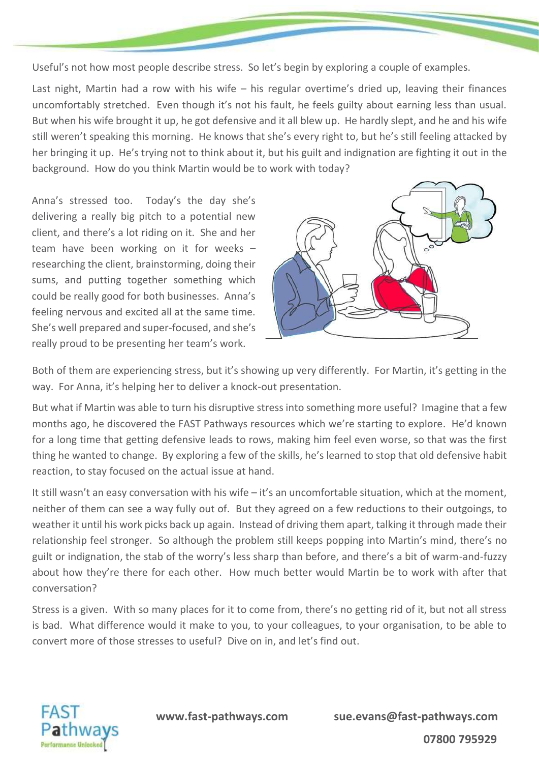Useful's not how most people describe stress. So let's begin by exploring a couple of examples.

Last night, Martin had a row with his wife – his regular overtime's dried up, leaving their finances uncomfortably stretched. Even though it's not his fault, he feels guilty about earning less than usual. But when his wife brought it up, he got defensive and it all blew up. He hardly slept, and he and his wife still weren't speaking this morning. He knows that she's every right to, but he's still feeling attacked by her bringing it up. He's trying not to think about it, but his guilt and indignation are fighting it out in the background. How do you think Martin would be to work with today?

Anna's stressed too. Today's the day she's delivering a really big pitch to a potential new client, and there's a lot riding on it. She and her team have been working on it for weeks – researching the client, brainstorming, doing their sums, and putting together something which could be really good for both businesses. Anna's feeling nervous and excited all at the same time. She's well prepared and super-focused, and she's really proud to be presenting her team's work.



Both of them are experiencing stress, but it's showing up very differently. For Martin, it's getting in the way. For Anna, it's helping her to deliver a knock-out presentation.

But what if Martin was able to turn his disruptive stress into something more useful? Imagine that a few months ago, he discovered the FAST Pathways resources which we're starting to explore. He'd known for a long time that getting defensive leads to rows, making him feel even worse, so that was the first thing he wanted to change. By exploring a few of the skills, he's learned to stop that old defensive habit reaction, to stay focused on the actual issue at hand.

It still wasn't an easy conversation with his wife – it's an uncomfortable situation, which at the moment, neither of them can see a way fully out of. But they agreed on a few reductions to their outgoings, to weather it until his work picks back up again. Instead of driving them apart, talking it through made their relationship feel stronger. So although the problem still keeps popping into Martin's mind, there's no guilt or indignation, the stab of the worry's less sharp than before, and there's a bit of warm-and-fuzzy about how they're there for each other. How much better would Martin be to work with after that conversation?

Stress is a given. With so many places for it to come from, there's no getting rid of it, but not all stress is bad. What difference would it make to you, to your colleagues, to your organisation, to be able to convert more of those stresses to useful? Dive on in, and let's find out.

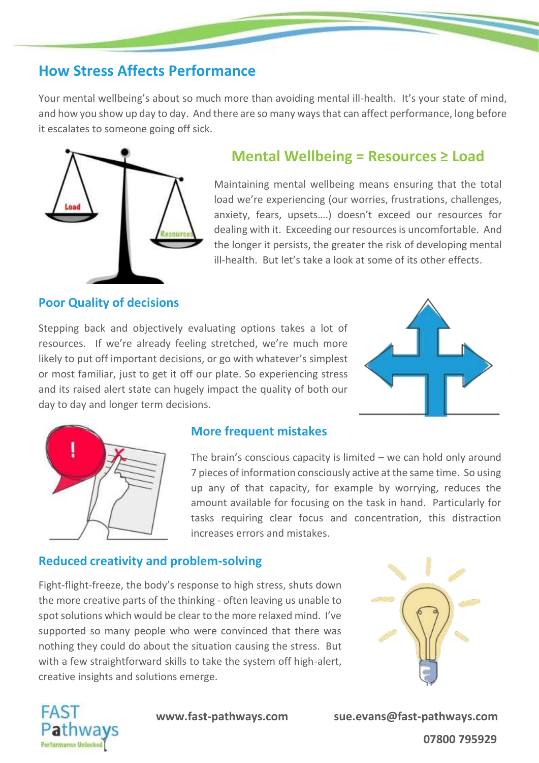## **How Stress Affects Performance**

Your mental wellbeing's about so much more than avoiding mental ill-health. It's your state of mind, and how you show up day to day. And there are so many ways that can affect performance, long before it escalates to someone going off sick.



### **Mental Wellbeing = Resources ≥ Load**

Maintaining mental wellbeing means ensuring that the total load we're experiencing (our worries, frustrations, challenges, anxiety, fears, upsets….) doesn't exceed our resources for dealing with it. Exceeding our resources is uncomfortable. And the longer it persists, the greater the risk of developing mental ill-health. But let's take a look at some of its other effects.

### **Poor Quality of decisions**

Stepping back and objectively evaluating options takes a lot of resources. If we're already feeling stretched, we're much more likely to put off important decisions, or go with whatever's simplest or most familiar, just to get it off our plate. So experiencing stress and its raised alert state can hugely impact the quality of both our day to day and longer term decisions.





#### **More frequent mistakes**

The brain's conscious capacity is limited – we can hold only around 7 pieces of information consciously active at the same time. So using up any of that capacity, for example by worrying, reduces the amount available for focusing on the task in hand. Particularly for tasks requiring clear focus and concentration, this distraction increases errors and mistakes.

#### **Reduced creativity and problem-solving**

Fight-flight-freeze, the body's response to high stress, shuts down the more creative parts of the thinking - often leaving us unable to spot solutions which would be clear to the more relaxed mind. I've supported so many people who were convinced that there was nothing they could do about the situation causing the stress. But with a few straightforward skills to take the system off high-alert, creative insights and solutions emerge.





 **www.fast-pathways.com sue.evans@fast-pathways.com 07800 795929**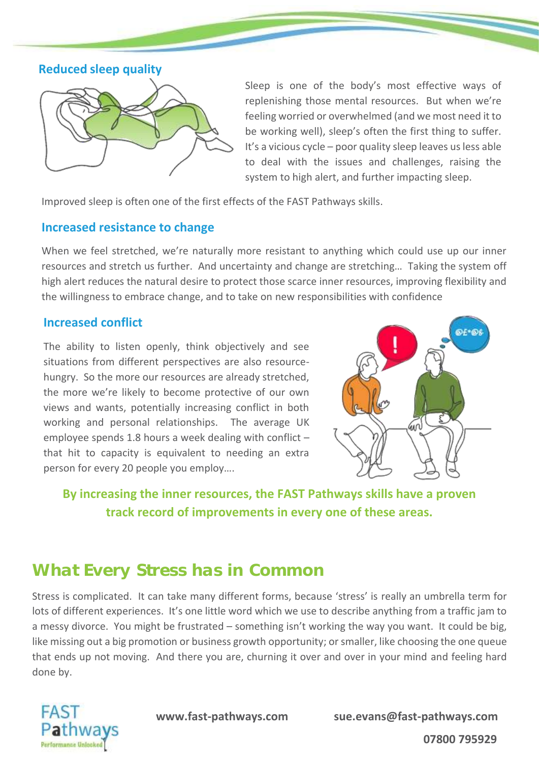**Reduced sleep quality**



Sleep is one of the body's most effective ways of replenishing those mental resources. But when we're feeling worried or overwhelmed (and we most need it to be working well), sleep's often the first thing to suffer. It's a vicious cycle – poor quality sleep leaves us less able to deal with the issues and challenges, raising the system to high alert, and further impacting sleep.

Improved sleep is often one of the first effects of the FAST Pathways skills.

#### **Increased resistance to change**

When we feel stretched, we're naturally more resistant to anything which could use up our inner resources and stretch us further. And uncertainty and change are stretching… Taking the system off high alert reduces the natural desire to protect those scarce inner resources, improving flexibility and the willingness to embrace change, and to take on new responsibilities with confidence

#### **Increased conflict**

The ability to listen openly, think objectively and see situations from different perspectives are also resourcehungry. So the more our resources are already stretched, the more we're likely to become protective of our own views and wants, potentially increasing conflict in both working and personal relationships. The average UK employee spends 1.8 hours a week dealing with conflict – that hit to capacity is equivalent to needing an extra person for every 20 people you employ….



**By increasing the inner resources, the FAST Pathways skills have a proven track record of improvements in every one of these areas.**

## **What Every Stress has in Common**

Stress is complicated. It can take many different forms, because 'stress' is really an umbrella term for lots of different experiences. It's one little word which we use to describe anything from a traffic jam to a messy divorce. You might be frustrated – something isn't working the way you want. It could be big, like missing out a big promotion or business growth opportunity; or smaller, like choosing the one queue that ends up not moving. And there you are, churning it over and over in your mind and feeling hard done by.



 **www.fast-pathways.com sue.evans@fast-pathways.com**

 **07800 795929**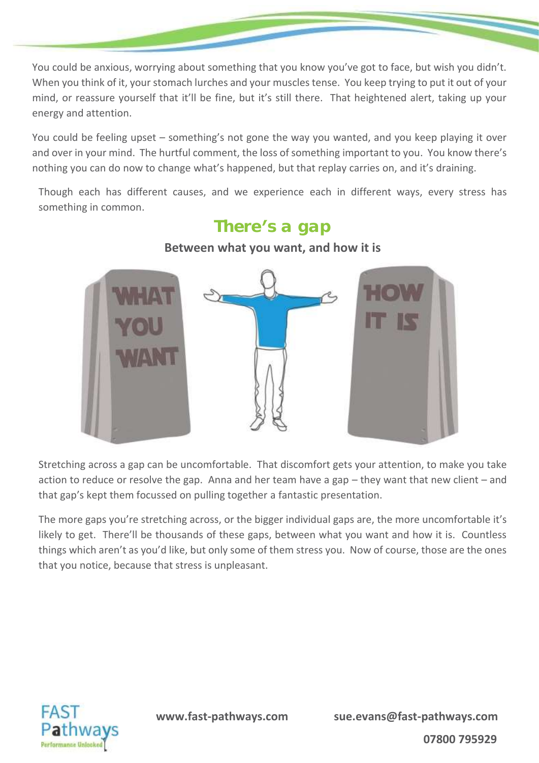You could be anxious, worrying about something that you know you've got to face, but wish you didn't. When you think of it, your stomach lurches and your muscles tense. You keep trying to put it out of your mind, or reassure yourself that it'll be fine, but it's still there. That heightened alert, taking up your energy and attention.

You could be feeling upset – something's not gone the way you wanted, and you keep playing it over and over in your mind. The hurtful comment, the loss of something important to you. You know there's nothing you can do now to change what's happened, but that replay carries on, and it's draining.

Though each has different causes, and we experience each in different ways, every stress has something in common.

## There's a gap



#### **Between what you want, and how it is**

Stretching across a gap can be uncomfortable. That discomfort gets your attention, to make you take action to reduce or resolve the gap. Anna and her team have a gap – they want that new client – and that gap's kept them focussed on pulling together a fantastic presentation.

The more gaps you're stretching across, or the bigger individual gaps are, the more uncomfortable it's likely to get. There'll be thousands of these gaps, between what you want and how it is. Countless things which aren't as you'd like, but only some of them stress you. Now of course, those are the ones that you notice, because that stress is unpleasant.

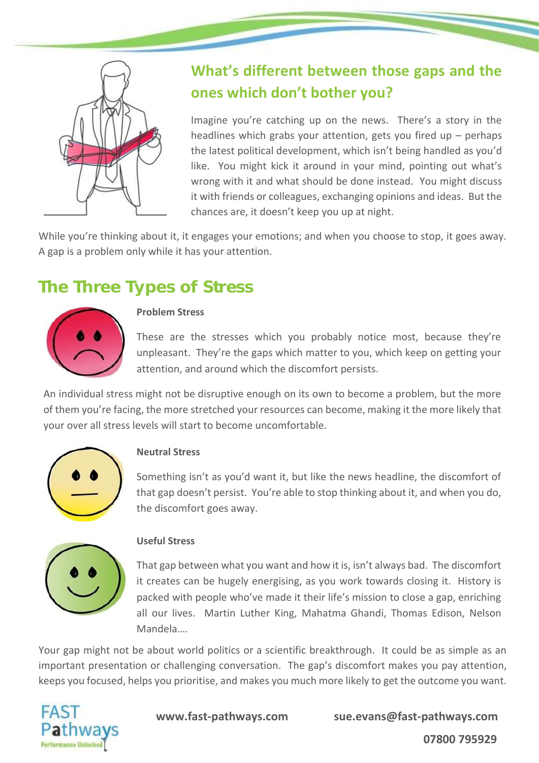

## **What's different between those gaps and the ones which don't bother you?**

Imagine you're catching up on the news. There's a story in the headlines which grabs your attention, gets you fired up – perhaps the latest political development, which isn't being handled as you'd like. You might kick it around in your mind, pointing out what's wrong with it and what should be done instead. You might discuss it with friends or colleagues, exchanging opinions and ideas. But the chances are, it doesn't keep you up at night.

While you're thinking about it, it engages your emotions; and when you choose to stop, it goes away. A gap is a problem only while it has your attention.

## **The Three Types of Stress**



#### **Problem Stress**

These are the stresses which you probably notice most, because they're unpleasant. They're the gaps which matter to you, which keep on getting your attention, and around which the discomfort persists.

An individual stress might not be disruptive enough on its own to become a problem, but the more of them you're facing, the more stretched your resources can become, making it the more likely that your over all stress levels will start to become uncomfortable.



#### **Neutral Stress**

Something isn't as you'd want it, but like the news headline, the discomfort of that gap doesn't persist. You're able to stop thinking about it, and when you do, the discomfort goes away.



#### **Useful Stress**

That gap between what you want and how it is, isn't always bad. The discomfort it creates can be hugely energising, as you work towards closing it. History is packed with people who've made it their life's mission to close a gap, enriching all our lives. Martin Luther King, Mahatma Ghandi, Thomas Edison, Nelson Mandela….

Your gap might not be about world politics or a scientific breakthrough. It could be as simple as an important presentation or challenging conversation. The gap's discomfort makes you pay attention, keeps you focused, helps you prioritise, and makes you much more likely to get the outcome you want.



 **www.fast-pathways.com sue.evans@fast-pathways.com**

 **07800 795929**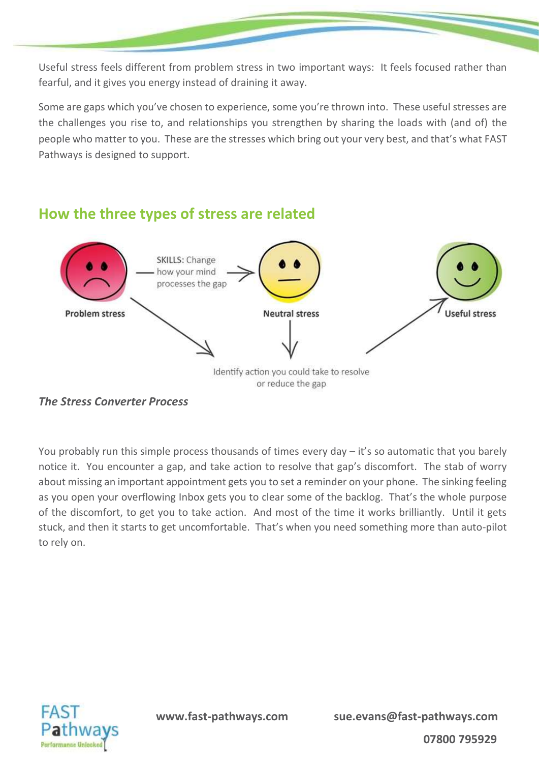Useful stress feels different from problem stress in two important ways: It feels focused rather than fearful, and it gives you energy instead of draining it away.

Some are gaps which you've chosen to experience, some you're thrown into. These useful stresses are the challenges you rise to, and relationships you strengthen by sharing the loads with (and of) the people who matter to you. These are the stresses which bring out your very best, and that's what FAST Pathways is designed to support.



### **How the three types of stress are related**

You probably run this simple process thousands of times every day – it's so automatic that you barely notice it. You encounter a gap, and take action to resolve that gap's discomfort. The stab of worry about missing an important appointment gets you to set a reminder on your phone. The sinking feeling as you open your overflowing Inbox gets you to clear some of the backlog. That's the whole purpose of the discomfort, to get you to take action. And most of the time it works brilliantly. Until it gets stuck, and then it starts to get uncomfortable. That's when you need something more than auto-pilot to rely on.



*The Stress Converter Process*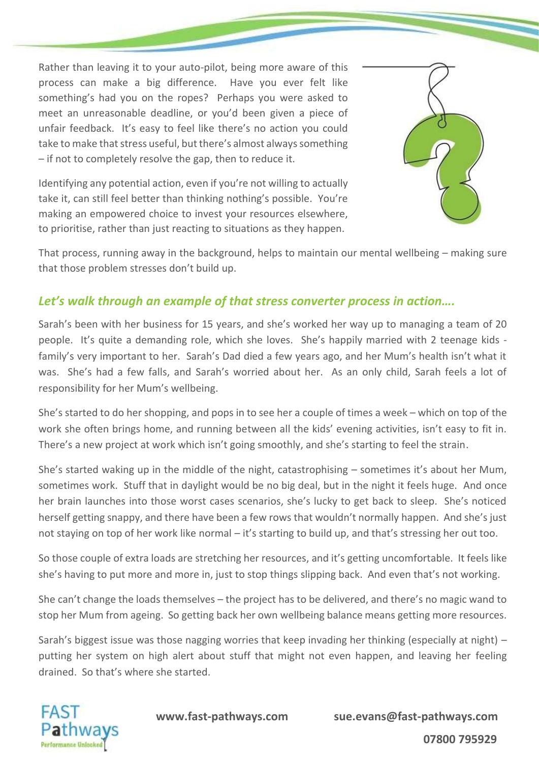Rather than leaving it to your auto-pilot, being more aware of this process can make a big difference. Have you ever felt like something's had you on the ropes? Perhaps you were asked to meet an unreasonable deadline, or you'd been given a piece of unfair feedback. It's easy to feel like there's no action you could take to make that stress useful, but there's almost always something – if not to completely resolve the gap, then to reduce it.

Identifying any potential action, even if you're not willing to actually take it, can still feel better than thinking nothing's possible. You're making an empowered choice to invest your resources elsewhere, to prioritise, rather than just reacting to situations as they happen.



That process, running away in the background, helps to maintain our mental wellbeing – making sure that those problem stresses don't build up.

#### *Let's walk through an example of that stress converter process in action….*

Sarah's been with her business for 15 years, and she's worked her way up to managing a team of 20 people. It's quite a demanding role, which she loves. She's happily married with 2 teenage kids family's very important to her. Sarah's Dad died a few years ago, and her Mum's health isn't what it was. She's had a few falls, and Sarah's worried about her. As an only child, Sarah feels a lot of responsibility for her Mum's wellbeing.

She's started to do her shopping, and pops in to see her a couple of times a week – which on top of the work she often brings home, and running between all the kids' evening activities, isn't easy to fit in. There's a new project at work which isn't going smoothly, and she's starting to feel the strain.

She's started waking up in the middle of the night, catastrophising – sometimes it's about her Mum, sometimes work. Stuff that in daylight would be no big deal, but in the night it feels huge. And once her brain launches into those worst cases scenarios, she's lucky to get back to sleep. She's noticed herself getting snappy, and there have been a few rows that wouldn't normally happen. And she's just not staying on top of her work like normal – it's starting to build up, and that's stressing her out too.

So those couple of extra loads are stretching her resources, and it's getting uncomfortable. It feels like she's having to put more and more in, just to stop things slipping back. And even that's not working.

She can't change the loads themselves – the project has to be delivered, and there's no magic wand to stop her Mum from ageing. So getting back her own wellbeing balance means getting more resources.

Sarah's biggest issue was those nagging worries that keep invading her thinking (especially at night) – putting her system on high alert about stuff that might not even happen, and leaving her feeling drained. So that's where she started.

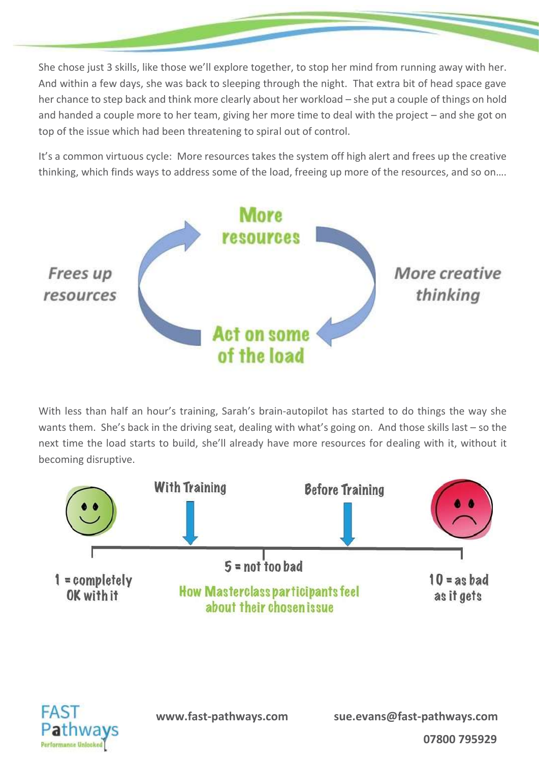She chose just 3 skills, like those we'll explore together, to stop her mind from running away with her. And within a few days, she was back to sleeping through the night. That extra bit of head space gave her chance to step back and think more clearly about her workload – she put a couple of things on hold and handed a couple more to her team, giving her more time to deal with the project – and she got on top of the issue which had been threatening to spiral out of control.

It's a common virtuous cycle: More resources takes the system off high alert and frees up the creative thinking, which finds ways to address some of the load, freeing up more of the resources, and so on….



With less than half an hour's training, Sarah's brain-autopilot has started to do things the way she wants them. She's back in the driving seat, dealing with what's going on. And those skills last – so the next time the load starts to build, she'll already have more resources for dealing with it, without it becoming disruptive.





 **www.fast-pathways.com sue.evans@fast-pathways.com**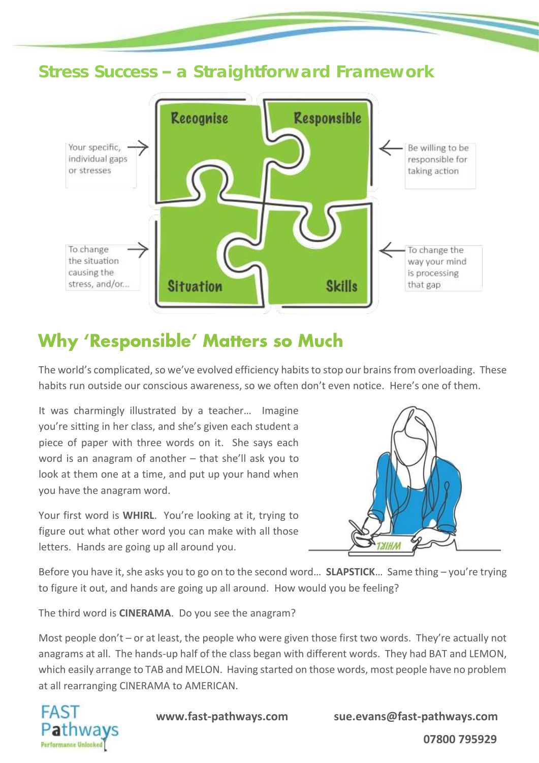

# **Why 'Responsible' Matters so Much**

The world's complicated, so we've evolved efficiency habits to stop our brains from overloading. These habits run outside our conscious awareness, so we often don't even notice. Here's one of them.

It was charmingly illustrated by a teacher… Imagine you're sitting in her class, and she's given each student a piece of paper with three words on it. She says each word is an anagram of another – that she'll ask you to look at them one at a time, and put up your hand when you have the anagram word.

Your first word is **WHIRL**. You're looking at it, trying to figure out what other word you can make with all those letters. Hands are going up all around you.



Before you have it, she asks you to go on to the second word… **SLAPSTICK**… Same thing – you're trying to figure it out, and hands are going up all around. How would you be feeling?

The third word is **CINERAMA**. Do you see the anagram?

Most people don't – or at least, the people who were given those first two words. They're actually not anagrams at all. The hands-up half of the class began with different words. They had BAT and LEMON, which easily arrange to TAB and MELON. Having started on those words, most people have no problem at all rearranging CINERAMA to AMERICAN.



 **www.fast-pathways.com sue.evans@fast-pathways.com**

 **07800 795929**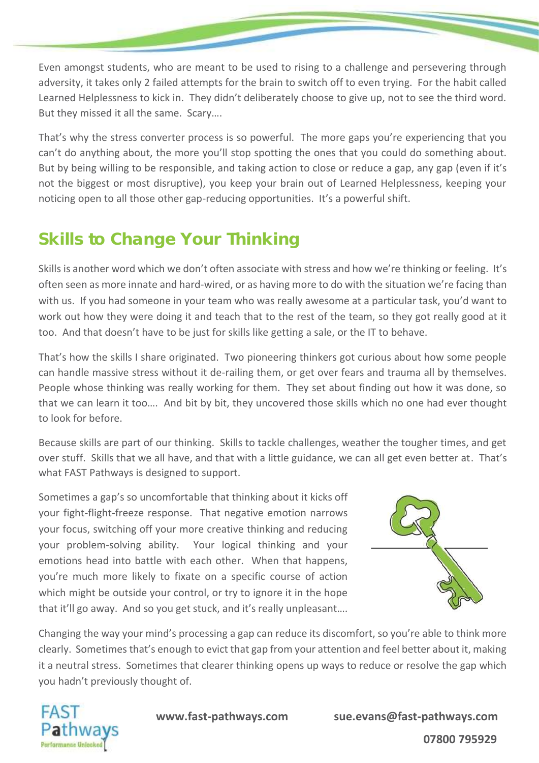Even amongst students, who are meant to be used to rising to a challenge and persevering through adversity, it takes only 2 failed attempts for the brain to switch off to even trying. For the habit called Learned Helplessness to kick in. They didn't deliberately choose to give up, not to see the third word. But they missed it all the same. Scary….

That's why the stress converter process is so powerful. The more gaps you're experiencing that you can't do anything about, the more you'll stop spotting the ones that you could do something about. But by being willing to be responsible, and taking action to close or reduce a gap, any gap (even if it's not the biggest or most disruptive), you keep your brain out of Learned Helplessness, keeping your noticing open to all those other gap-reducing opportunities. It's a powerful shift.

# **Skills to Change Your Thinking**

Skills is another word which we don't often associate with stress and how we're thinking or feeling. It's often seen as more innate and hard-wired, or as having more to do with the situation we're facing than with us. If you had someone in your team who was really awesome at a particular task, you'd want to work out how they were doing it and teach that to the rest of the team, so they got really good at it too. And that doesn't have to be just for skills like getting a sale, or the IT to behave.

That's how the skills I share originated. Two pioneering thinkers got curious about how some people can handle massive stress without it de-railing them, or get over fears and trauma all by themselves. People whose thinking was really working for them. They set about finding out how it was done, so that we can learn it too…. And bit by bit, they uncovered those skills which no one had ever thought to look for before.

Because skills are part of our thinking. Skills to tackle challenges, weather the tougher times, and get over stuff. Skills that we all have, and that with a little guidance, we can all get even better at. That's what FAST Pathways is designed to support.

Sometimes a gap's so uncomfortable that thinking about it kicks off your fight-flight-freeze response. That negative emotion narrows your focus, switching off your more creative thinking and reducing your problem-solving ability. Your logical thinking and your emotions head into battle with each other. When that happens, you're much more likely to fixate on a specific course of action which might be outside your control, or try to ignore it in the hope that it'll go away. And so you get stuck, and it's really unpleasant….



Changing the way your mind's processing a gap can reduce its discomfort, so you're able to think more clearly. Sometimes that's enough to evict that gap from your attention and feel better about it, making it a neutral stress. Sometimes that clearer thinking opens up ways to reduce or resolve the gap which you hadn't previously thought of.



 **www.fast-pathways.com sue.evans@fast-pathways.com 07800 795929**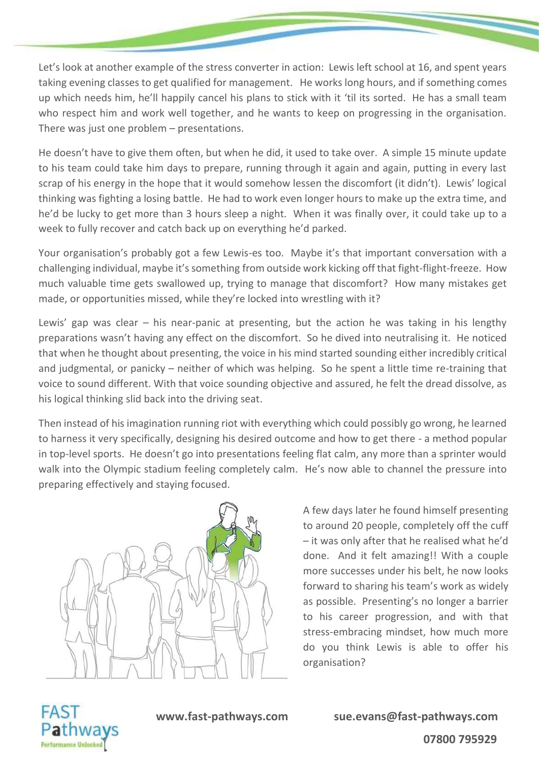Let's look at another example of the stress converter in action: Lewis left school at 16, and spent years taking evening classes to get qualified for management. He works long hours, and if something comes up which needs him, he'll happily cancel his plans to stick with it 'til its sorted. He has a small team who respect him and work well together, and he wants to keep on progressing in the organisation. There was just one problem – presentations.

He doesn't have to give them often, but when he did, it used to take over. A simple 15 minute update to his team could take him days to prepare, running through it again and again, putting in every last scrap of his energy in the hope that it would somehow lessen the discomfort (it didn't). Lewis' logical thinking was fighting a losing battle. He had to work even longer hours to make up the extra time, and he'd be lucky to get more than 3 hours sleep a night. When it was finally over, it could take up to a week to fully recover and catch back up on everything he'd parked.

Your organisation's probably got a few Lewis-es too. Maybe it's that important conversation with a challenging individual, maybe it's something from outside work kicking off that fight-flight-freeze. How much valuable time gets swallowed up, trying to manage that discomfort? How many mistakes get made, or opportunities missed, while they're locked into wrestling with it?

Lewis' gap was clear – his near-panic at presenting, but the action he was taking in his lengthy preparations wasn't having any effect on the discomfort. So he dived into neutralising it. He noticed that when he thought about presenting, the voice in his mind started sounding either incredibly critical and judgmental, or panicky – neither of which was helping. So he spent a little time re-training that voice to sound different. With that voice sounding objective and assured, he felt the dread dissolve, as his logical thinking slid back into the driving seat.

Then instead of his imagination running riot with everything which could possibly go wrong, he learned to harness it very specifically, designing his desired outcome and how to get there - a method popular in top-level sports. He doesn't go into presentations feeling flat calm, any more than a sprinter would walk into the Olympic stadium feeling completely calm. He's now able to channel the pressure into preparing effectively and staying focused.



A few days later he found himself presenting to around 20 people, completely off the cuff – it was only after that he realised what he'd done. And it felt amazing!! With a couple more successes under his belt, he now looks forward to sharing his team's work as widely as possible. Presenting's no longer a barrier to his career progression, and with that stress-embracing mindset, how much more do you think Lewis is able to offer his organisation?



 **www.fast-pathways.com sue.evans@fast-pathways.com 07800 795929**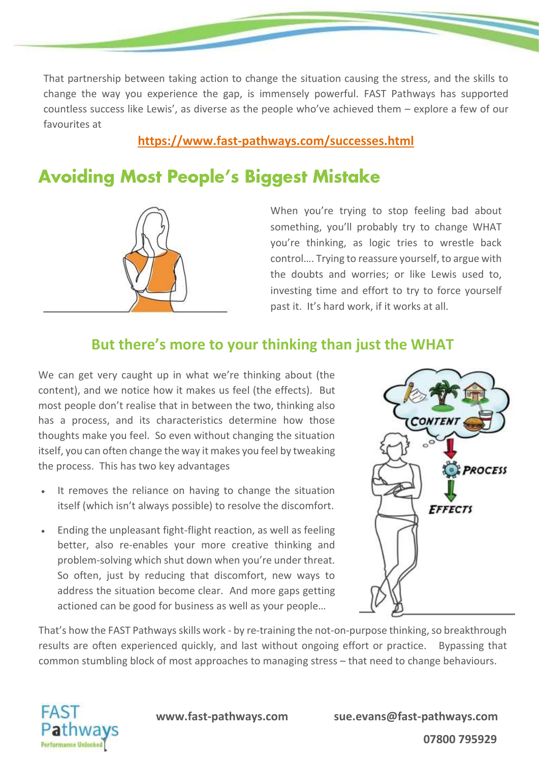That partnership between taking action to change the situation causing the stress, and the skills to change the way you experience the gap, is immensely powerful. FAST Pathways has supported countless success like Lewis', as diverse as the people who've achieved them – explore a few of our favourites at

### **<https://www.fast-pathways.com/successes.html>**

# **Avoiding Most People's Biggest Mistake**



When you're trying to stop feeling bad about something, you'll probably try to change WHAT you're thinking, as logic tries to wrestle back control…. Trying to reassure yourself, to argue with the doubts and worries; or like Lewis used to, investing time and effort to try to force yourself past it. It's hard work, if it works at all.

## **But there's more to your thinking than just the WHAT**

We can get very caught up in what we're thinking about (the content), and we notice how it makes us feel (the effects). But most people don't realise that in between the two, thinking also has a process, and its characteristics determine how those thoughts make you feel. So even without changing the situation itself, you can often change the way it makes you feel by tweaking the process. This has two key advantages

- It removes the reliance on having to change the situation itself (which isn't always possible) to resolve the discomfort.
- Ending the unpleasant fight-flight reaction, as well as feeling better, also re-enables your more creative thinking and problem-solving which shut down when you're under threat. So often, just by reducing that discomfort, new ways to address the situation become clear. And more gaps getting actioned can be good for business as well as your people…



That's how the FAST Pathways skills work - by re-training the not-on-purpose thinking, so breakthrough results are often experienced quickly, and last without ongoing effort or practice. Bypassing that common stumbling block of most approaches to managing stress – that need to change behaviours.

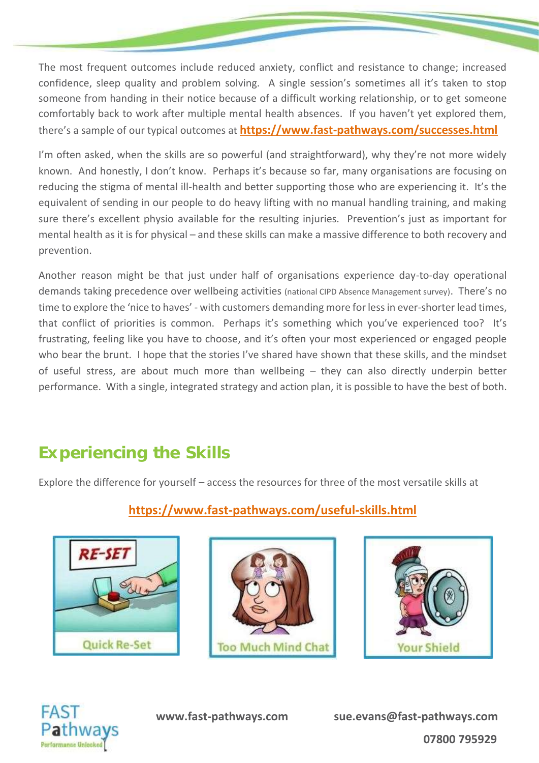The most frequent outcomes include reduced anxiety, conflict and resistance to change; increased confidence, sleep quality and problem solving. A single session's sometimes all it's taken to stop someone from handing in their notice because of a difficult working relationship, or to get someone comfortably back to work after multiple mental health absences. If you haven't yet explored them, there's a sample of our typical outcomes at **<https://www.fast-pathways.com/successes.html>**

I'm often asked, when the skills are so powerful (and straightforward), why they're not more widely known. And honestly, I don't know. Perhaps it's because so far, many organisations are focusing on reducing the stigma of mental ill-health and better supporting those who are experiencing it. It's the equivalent of sending in our people to do heavy lifting with no manual handling training, and making sure there's excellent physio available for the resulting injuries. Prevention's just as important for mental health as it is for physical – and these skills can make a massive difference to both recovery and prevention.

Another reason might be that just under half of organisations experience day-to-day operational demands taking precedence over wellbeing activities (national CIPD Absence Management survey). There's no time to explore the 'nice to haves' - with customers demanding more for lessin ever-shorter lead times, that conflict of priorities is common. Perhaps it's something which you've experienced too? It's frustrating, feeling like you have to choose, and it's often your most experienced or engaged people who bear the brunt. I hope that the stories I've shared have shown that these skills, and the mindset of useful stress, are about much more than wellbeing – they can also directly underpin better performance. With a single, integrated strategy and action plan, it is possible to have the best of both.

## **Experiencing the Skills**

Explore the difference for yourself – access the resources for three of the most versatile skills at

### **<https://www.fast-pathways.com/useful-skills.html>**